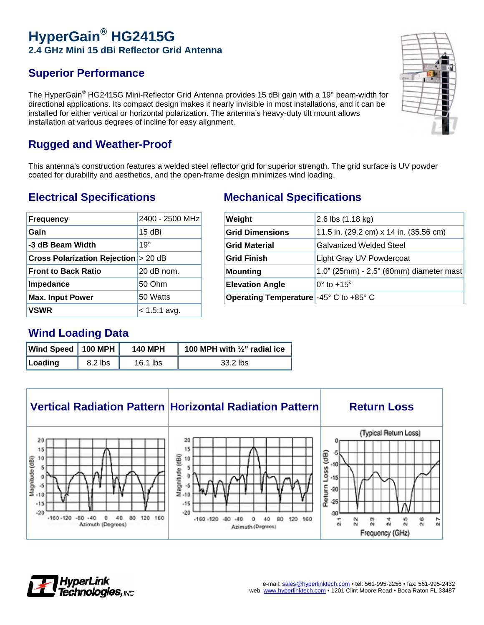# **HyperGain® HG2415G 2.4 GHz Mini 15 dBi Reflector Grid Antenna**

# **Superior Performance**

The HyperGain® HG2415G Mini-Reflector Grid Antenna provides 15 dBi gain with a 19° beam-width for directional applications. Its compact design makes it nearly invisible in most installations, and it can be installed for either vertical or horizontal polarization. The antenna's heavy-duty tilt mount allows installation at various degrees of incline for easy alignment.

# **Rugged and Weather-Proof**

This antenna's construction features a welded steel reflector grid for superior strength. The grid surface is UV powder coated for durability and aesthetics, and the open-frame design minimizes wind loading.

| <b>Frequency</b>                       | 2400 - 2500 MHz |
|----------------------------------------|-----------------|
| Gain                                   | 15 dBi          |
| -3 dB Beam Width                       | $19^\circ$      |
| Cross Polarization Rejection $> 20$ dB |                 |
| <b>Front to Back Ratio</b>             | $20$ dB nom.    |
| Impedance                              | 50 Ohm          |
| <b>Max. Input Power</b>                | 50 Watts        |
| <b>VSWR</b>                            | $< 1.5:1$ avg.  |

# **Electrical Specifications Mechanical Specifications**

| Weight                                        | 2.6 lbs (1.18 kg)                       |
|-----------------------------------------------|-----------------------------------------|
| <b>Grid Dimensions</b>                        | 11.5 in. (29.2 cm) x 14 in. (35.56 cm)  |
| <b>Grid Material</b>                          | <b>Galvanized Welded Steel</b>          |
| <b>Grid Finish</b>                            | Light Gray UV Powdercoat                |
| <b>Mounting</b>                               | 1.0" (25mm) - 2.5" (60mm) diameter mast |
| <b>Elevation Angle</b>                        | $0^\circ$ to $+15^\circ$                |
| <b>Operating Temperature -45° C to +85° C</b> |                                         |

## **Wind Loading Data**

| Wind Speed   100 MPH $\vert$ |         | <b>140 MPH</b> | 100 MPH with $\frac{1}{2}$ " radial ice |
|------------------------------|---------|----------------|-----------------------------------------|
| Loading                      | 8.2 lbs | $16.1$ lbs     | 33.2 lbs                                |